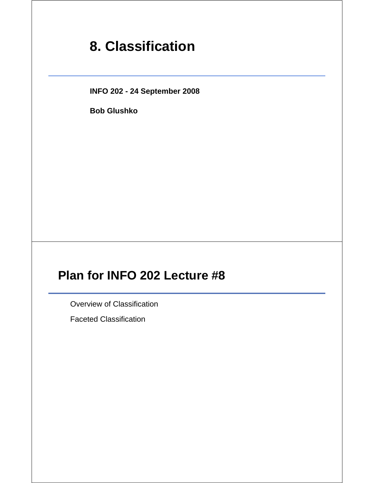# **8. Classification**

**INFO 202 - 24 September 2008**

**Bob Glushko**

## **Plan for INFO 202 Lecture #8**

Overview of Classification

Faceted Classification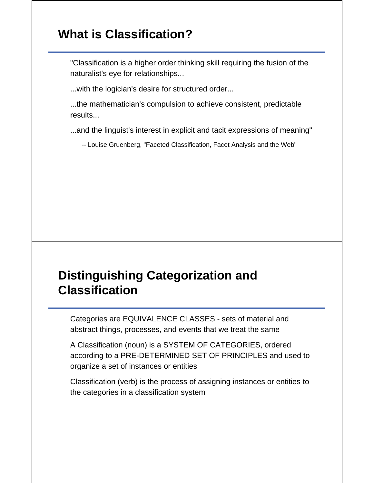### **What is Classification?**

"Classification is a higher order thinking skill requiring the fusion of the naturalist's eye for relationships...

...with the logician's desire for structured order...

...the mathematician's compulsion to achieve consistent, predictable results...

...and the linguist's interest in explicit and tacit expressions of meaning"

-- Louise Gruenberg, "Faceted Classification, Facet Analysis and the Web"

## **Distinguishing Categorization and Classification**

Categories are EQUIVALENCE CLASSES - sets of material and abstract things, processes, and events that we treat the same

A Classification (noun) is a SYSTEM OF CATEGORIES, ordered according to a PRE-DETERMINED SET OF PRINCIPLES and used to organize a set of instances or entities

Classification (verb) is the process of assigning instances or entities to the categories in a classification system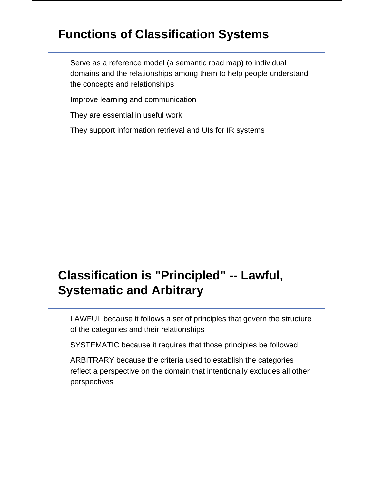## **Functions of Classification Systems**

Serve as a reference model (a semantic road map) to individual domains and the relationships among them to help people understand the concepts and relationships

Improve learning and communication

They are essential in useful work

They support information retrieval and UIs for IR systems

# **Classification is "Principled" -- Lawful, Systematic and Arbitrary**

LAWFUL because it follows a set of principles that govern the structure of the categories and their relationships

SYSTEMATIC because it requires that those principles be followed

ARBITRARY because the criteria used to establish the categories reflect a perspective on the domain that intentionally excludes all other perspectives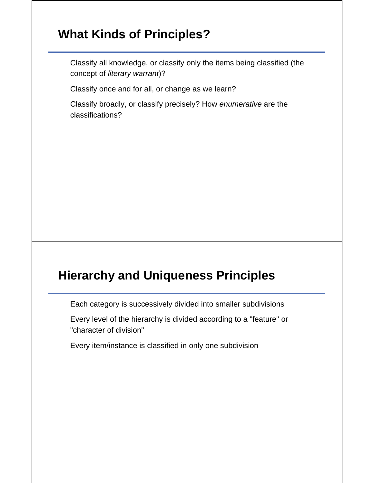## **What Kinds of Principles?**

Classify all knowledge, or classify only the items being classified (the concept of *literary warrant*)?

Classify once and for all, or change as we learn?

Classify broadly, or classify precisely? How *enumerative* are the classifications?

### **Hierarchy and Uniqueness Principles**

Each category is successively divided into smaller subdivisions

Every level of the hierarchy is divided according to a "feature" or "character of division"

Every item/instance is classified in only one subdivision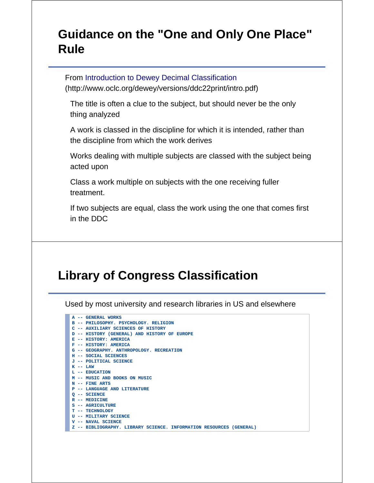## **Guidance on the "One and Only One Place" Rule**

From Introduction to Dewey Decimal Classification (http://www.oclc.org/dewey/versions/ddc22print/intro.pdf)

The title is often a clue to the subject, but should never be the only thing analyzed

A work is classed in the discipline for which it is intended, rather than the discipline from which the work derives

Works dealing with multiple subjects are classed with the subject being acted upon

Class a work multiple on subjects with the one receiving fuller treatment.

If two subjects are equal, class the work using the one that comes first in the DDC

# **Library of Congress Classification**

Used by most university and research libraries in US and elsewhere

| A -- GENERAL WORKS                                                  |
|---------------------------------------------------------------------|
| B -- PHILOSOPHY, PSYCHOLOGY, RELIGION                               |
| C -- AUXILIARY SCIENCES OF HISTORY                                  |
| D -- HISTORY (GENERAL) AND HISTORY OF EUROPE                        |
| E -- HISTORY: AMERICA                                               |
| F -- HISTORY: AMERICA                                               |
| G -- GEOGRAPHY, ANTHROPOLOGY, RECREATION                            |
| H -- SOCIAL SCIENCES                                                |
| J -- POLITICAL SCIENCE                                              |
| $K$ -- LAW                                                          |
| L -- EDUCATION                                                      |
| M -- MUSIC AND BOOKS ON MUSIC                                       |
| $N$ -- FINE ARTS                                                    |
| <b>P -- LANGUAGE AND LITERATURE</b>                                 |
| $O - -$ SCIENCE                                                     |
| $R$ -- MEDICINE                                                     |
| S -- AGRICULTURE                                                    |
| T -- TECHNOLOGY                                                     |
| U -- MILITARY SCIENCE                                               |
| V -- NAVAL SCIENCE                                                  |
| Z -- BIBLIOGRAPHY. LIBRARY SCIENCE. INFORMATION RESOURCES (GENERAL) |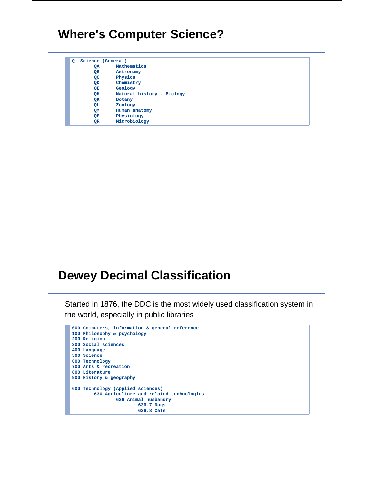### **Where's Computer Science?**

| o |    | Science (General)         |
|---|----|---------------------------|
|   | QA | Mathematics               |
|   | OВ | Astronomy                 |
|   | QC | Physics                   |
|   | QD | Chemistry                 |
|   | QЕ | Geology                   |
|   | OН | Natural history - Biology |
|   | QK | Botany                    |
|   | QL | Zoology                   |
|   | QМ | Human anatomy             |
|   | ОP | Physiology                |
|   | QR | Microbiology              |
|   |    |                           |

### **Dewey Decimal Classification**

Started in 1876, the DDC is the most widely used classification system in the world, especially in public libraries

```
000 Computers, information & general reference
100 Philosophy & psychology
200 Religion
300 Social sciences
400 Language
500 Science
600 Technology
700 Arts & recreation
800 Literature
900 History & geography
600 Technology (Applied sciences)
        630 Agriculture and related technologies
              636 Animal husbandry
                        636.7 Dogs
                         636.8 Cats
```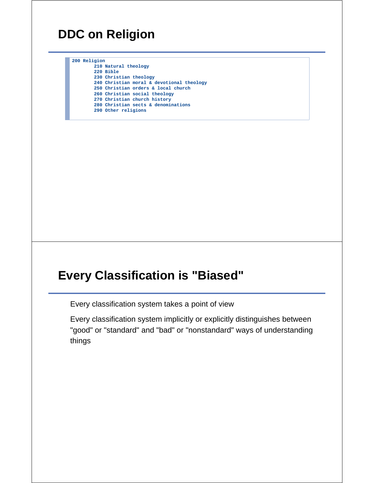### **DDC on Religion**

**200 Religion 210 Natural theology 220 Bible 230 Christian theology 240 Christian moral & devotional theology 250 Christian orders & local church 260 Christian social theology 270 Christian church history 280 Christian sects & denominations 290 Other religions**

### **Every Classification is "Biased"**

Every classification system takes a point of view

Every classification system implicitly or explicitly distinguishes between "good" or "standard" and "bad" or "nonstandard" ways of understanding things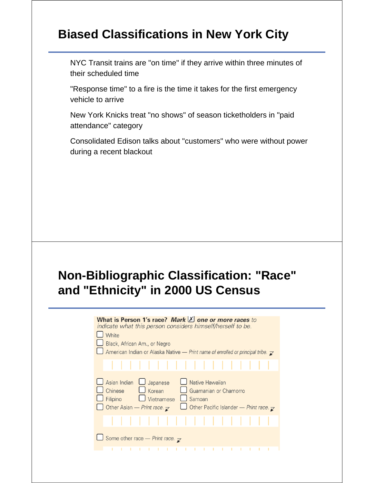## **Biased Classifications in New York City**

NYC Transit trains are "on time" if they arrive within three minutes of their scheduled time

"Response time" to a fire is the time it takes for the first emergency vehicle to arrive

New York Knicks treat "no shows" of season ticketholders in "paid attendance" category

Consolidated Edison talks about "customers" who were without power during a recent blackout

# **Non-Bibliographic Classification: "Race" and "Ethnicity" in 2000 US Census**

| indicate what this person considers himself/herself to be.<br>White<br>Black, African Am., or Negro<br>American Indian or Alaska Native - Print name of enrolled or principal tribe. $\triangleright$                               |
|-------------------------------------------------------------------------------------------------------------------------------------------------------------------------------------------------------------------------------------|
|                                                                                                                                                                                                                                     |
| Asian Indian<br>Native Hawaiian<br>Japanese<br>Chinese<br>$\Box$ Korean<br>Guamanian or Chamorro<br>Samoan<br>Vietnamese<br>Filipino<br>Other Asian – Print race. $\mathbf{z}$<br>Other Pacific Islander - Print race. $\mathbf{z}$ |
|                                                                                                                                                                                                                                     |
| $\Box$ Some other race - Print race. $\triangleright$                                                                                                                                                                               |
|                                                                                                                                                                                                                                     |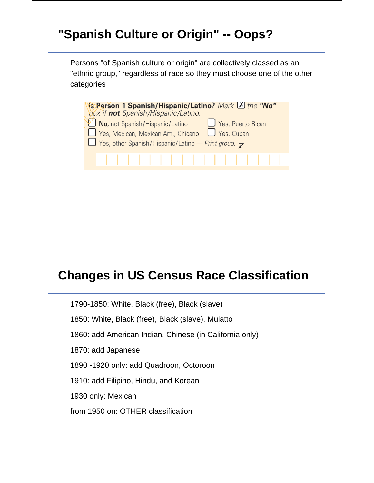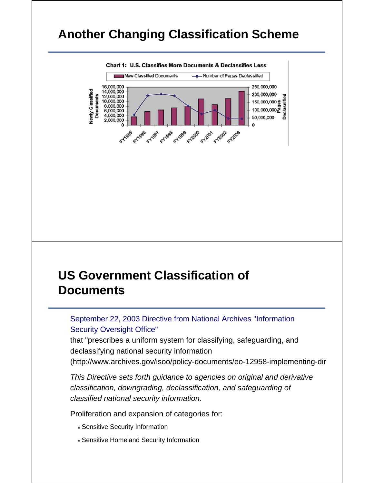### **Another Changing Classification Scheme**



### **US Government Classification of Documents**

September 22, 2003 Directive from National Archives "Information Security Oversight Office"

that "prescribes a uniform system for classifying, safeguarding, and declassifying national security information

(http://www.archives.gov/isoo/policy-documents/eo-12958-implementing-dir

*This Directive sets forth guidance to agencies on original and derivative classification, downgrading, declassification, and safeguarding of classified national security information.* 

Proliferation and expansion of categories for:

- Sensitive Security Information
- Sensitive Homeland Security Information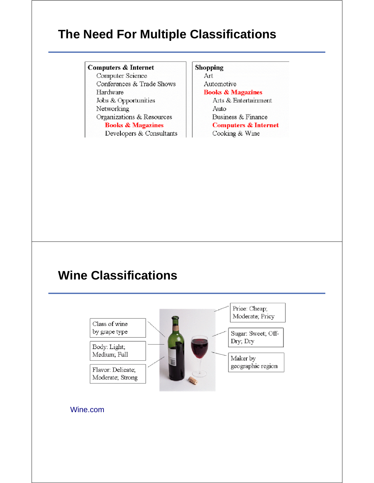## **The Need For Multiple Classifications**

#### **Computers & Internet**

Computer Science Conferences & Trade Shows Hardware Jobs & Opportunities Networking Organizations & Resources **Books & Magazines** Developers & Consultants **Shopping** Art Automotive **Books & Magazines** Arts & Entertainment Auto Business & Finance **Computers & Internet** Cooking & Wine

### **Wine Classifications**



#### Wine.com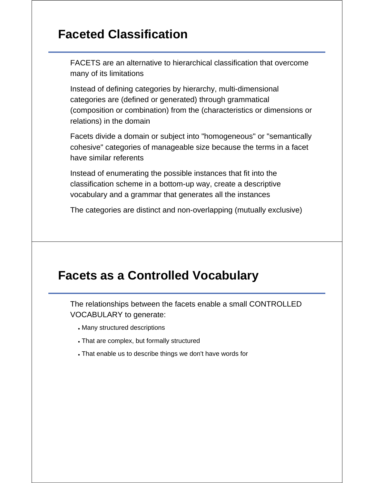## **Faceted Classification**

FACETS are an alternative to hierarchical classification that overcome many of its limitations

Instead of defining categories by hierarchy, multi-dimensional categories are (defined or generated) through grammatical (composition or combination) from the (characteristics or dimensions or relations) in the domain

Facets divide a domain or subject into "homogeneous" or "semantically cohesive" categories of manageable size because the terms in a facet have similar referents

Instead of enumerating the possible instances that fit into the classification scheme in a bottom-up way, create a descriptive vocabulary and a grammar that generates all the instances

The categories are distinct and non-overlapping (mutually exclusive)

### **Facets as a Controlled Vocabulary**

The relationships between the facets enable a small CONTROLLED VOCABULARY to generate:

- Many structured descriptions
- That are complex, but formally structured
- That enable us to describe things we don't have words for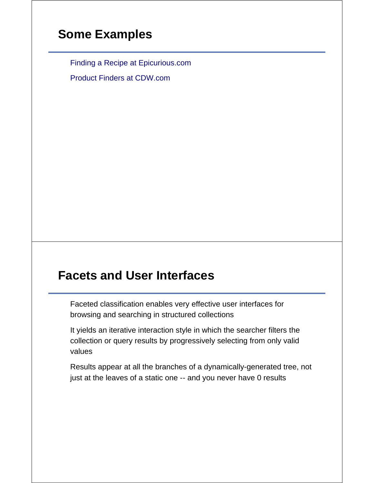### **Some Examples**

Finding a Recipe at Epicurious.com

Product Finders at CDW.com

## **Facets and User Interfaces**

Faceted classification enables very effective user interfaces for browsing and searching in structured collections

It yields an iterative interaction style in which the searcher filters the collection or query results by progressively selecting from only valid values

Results appear at all the branches of a dynamically-generated tree, not just at the leaves of a static one -- and you never have 0 results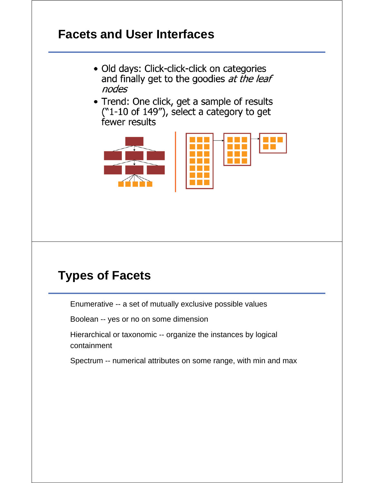## **Facets and User Interfaces**

- · Old days: Click-click-click on categories and finally get to the goodies at the leaf nodes
- Trend: One click, get a sample of results ("1-10 of 149"), select a category to get fewer results



## **Types of Facets**

Enumerative -- a set of mutually exclusive possible values

Boolean -- yes or no on some dimension

Hierarchical or taxonomic -- organize the instances by logical containment

Spectrum -- numerical attributes on some range, with min and max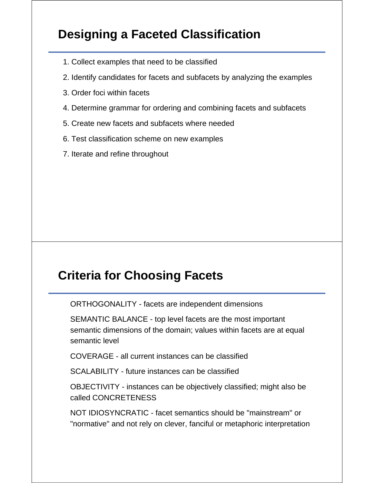# **Designing a Faceted Classification**

- 1. Collect examples that need to be classified
- 2. Identify candidates for facets and subfacets by analyzing the examples
- 3. Order foci within facets
- 4. Determine grammar for ordering and combining facets and subfacets
- 5. Create new facets and subfacets where needed
- 6. Test classification scheme on new examples
- 7. Iterate and refine throughout

## **Criteria for Choosing Facets**

ORTHOGONALITY - facets are independent dimensions

SEMANTIC BALANCE - top level facets are the most important semantic dimensions of the domain; values within facets are at equal semantic level

COVERAGE - all current instances can be classified

SCALABILITY - future instances can be classified

OBJECTIVITY - instances can be objectively classified; might also be called CONCRETENESS

NOT IDIOSYNCRATIC - facet semantics should be "mainstream" or "normative" and not rely on clever, fanciful or metaphoric interpretation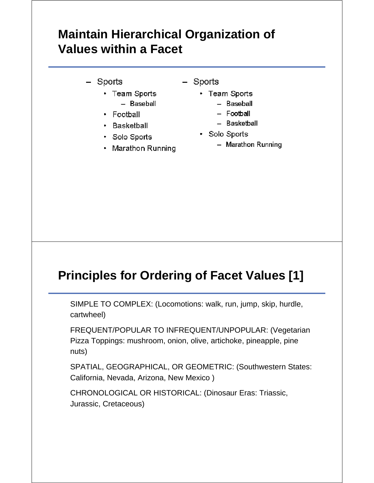# **Maintain Hierarchical Organization of Values within a Facet**

- Sports
	- Team Sports - Baseball
	- Football
	- Basketball
	- · Solo Sports
	- Marathon Running
- Sports
	- Team Sports
		- Baseball
		- Football
		- Basketball
	- Solo Sports
		- Marathon Running

## **Principles for Ordering of Facet Values [1]**

SIMPLE TO COMPLEX: (Locomotions: walk, run, jump, skip, hurdle, cartwheel)

FREQUENT/POPULAR TO INFREQUENT/UNPOPULAR: (Vegetarian Pizza Toppings: mushroom, onion, olive, artichoke, pineapple, pine nuts)

SPATIAL, GEOGRAPHICAL, OR GEOMETRIC: (Southwestern States: California, Nevada, Arizona, New Mexico )

CHRONOLOGICAL OR HISTORICAL: (Dinosaur Eras: Triassic, Jurassic, Cretaceous)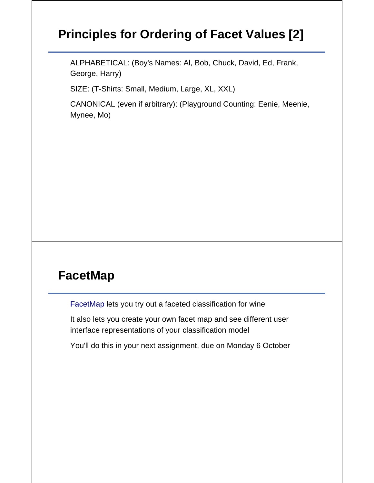# **Principles for Ordering of Facet Values [2]**

ALPHABETICAL: (Boy's Names: Al, Bob, Chuck, David, Ed, Frank, George, Harry)

SIZE: (T-Shirts: Small, Medium, Large, XL, XXL)

CANONICAL (even if arbitrary): (Playground Counting: Eenie, Meenie, Mynee, Mo)

## **FacetMap**

FacetMap lets you try out a faceted classification for wine

It also lets you create your own facet map and see different user interface representations of your classification model

You'll do this in your next assignment, due on Monday 6 October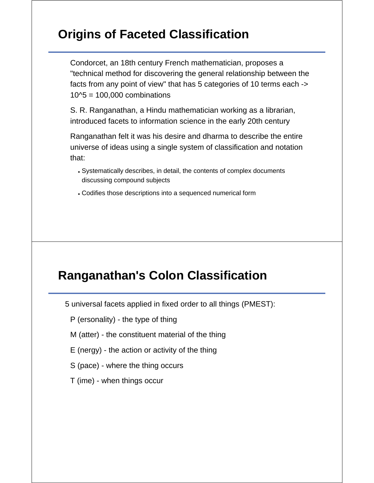# **Origins of Faceted Classification**

Condorcet, an 18th century French mathematician, proposes a "technical method for discovering the general relationship between the facts from any point of view" that has 5 categories of 10 terms each ->  $10<sup>4</sup>$  5 = 100,000 combinations

S. R. Ranganathan, a Hindu mathematician working as a librarian, introduced facets to information science in the early 20th century

Ranganathan felt it was his desire and dharma to describe the entire universe of ideas using a single system of classification and notation that:

- Systematically describes, in detail, the contents of complex documents discussing compound subjects
- Codifies those descriptions into a sequenced numerical form

## **Ranganathan's Colon Classification**

5 universal facets applied in fixed order to all things (PMEST):

P (ersonality) - the type of thing

- M (atter) the constituent material of the thing
- E (nergy) the action or activity of the thing
- S (pace) where the thing occurs
- T (ime) when things occur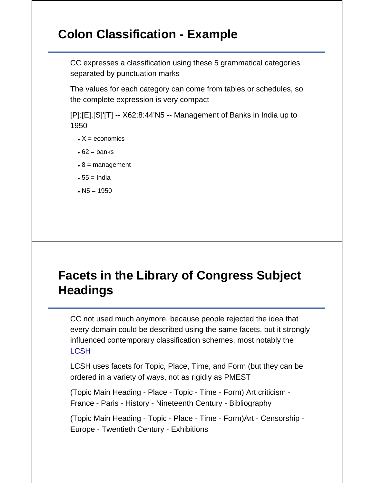## **Colon Classification - Example**

CC expresses a classification using these 5 grammatical categories separated by punctuation marks

The values for each category can come from tables or schedules, so the complete expression is very compact

[P]:[E].[S]'[T] -- X62:8:44'N5 -- Management of Banks in India up to 1950

- $\bullet$  X = economics
- $\cdot$  62 = banks
- $\cdot$  8 = management
- $55 = India$
- $\cdot$  N5 = 1950

# **Facets in the Library of Congress Subject Headings**

CC not used much anymore, because people rejected the idea that every domain could be described using the same facets, but it strongly influenced contemporary classification schemes, most notably the **LCSH** 

LCSH uses facets for Topic, Place, Time, and Form (but they can be ordered in a variety of ways, not as rigidly as PMEST

(Topic Main Heading - Place - Topic - Time - Form) Art criticism - France - Paris - History - Nineteenth Century - Bibliography

(Topic Main Heading - Topic - Place - Time - Form)Art - Censorship - Europe - Twentieth Century - Exhibitions